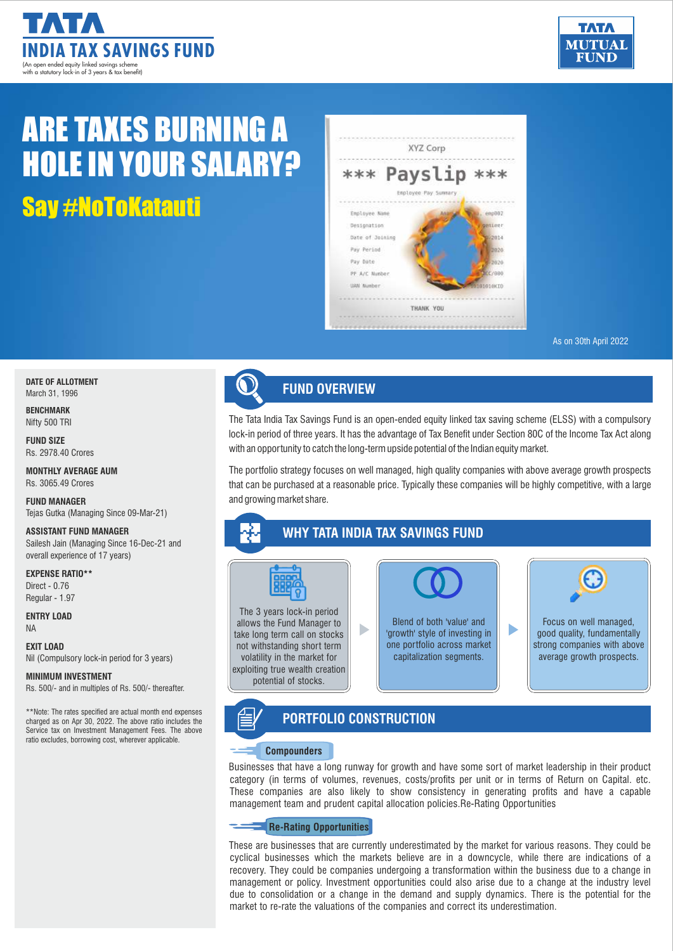



# Say #NoToKatauti ARE TAXES BURNING A HOLE IN YOUR SALARY?



As on 30th April 2022

**DATE OF ALLOTMENT** March 31, 1996

**BENCHMARK** Nifty 500 TRI

**FUND SIZE** Rs. 2978.40 Crores

**MONTHLY AVERAGE AUM** Rs. 3065.49 Crores

**FUND MANAGER** Tejas Gutka (Managing Since 09-Mar-21)

#### **ASSISTANT FUND MANAGER**

Sailesh Jain (Managing Since 16-Dec-21 and overall experience of 17 years)

**EXPENSE RATIO\*\*** Direct- 0.76 Regular - 1.97

**ENTRY LOAD** NA

**EXIT LOAD** Nil (Compulsory lock-in period for 3 years)

#### **MINIMUM INVESTMENT**

Rs. 500/- and in multiples of Rs. 500/- thereafter.

\*\*Note: The rates specified are actual month end expenses **Applemance in the CORTFOLIO CONSTRUCTION** Service tax on Investment Management Fees. The above ratio excludes, borrowing cost, wherever applicable.

![](_page_0_Picture_18.jpeg)

### **FUND OVERVIEW**

The Tata India Tax Savings Fund is an open-ended equity linked tax saving scheme (ELSS) with a compulsory lock-in period of three years. It has the advantage of Tax Benefit under Section 80C of the Income Tax Act along with an opportunity to catch the long-term upside potential of the Indian equity market.

The portfolio strategy focuses on well managed, high quality companies with above average growth prospects that can be purchased at a reasonable price. Typically these companies will be highly competitive, with a large and growing market share.

### **WHY TATA INDIA TAX SAVINGS FUND**

![](_page_0_Picture_23.jpeg)

The 3 years lock-in period allows the Fund Manager to take long term call on stocks not withstanding short term volatility in the market for exploiting true wealth creation potential of stocks.

## Blend of both 'value' and ь 'growth' style of investing in one portfolio across market capitalization segments.

![](_page_0_Picture_26.jpeg)

b.

#### **Compounders**

Businesses that have a long runway for growth and have some sort of market leadership in their product category (in terms of volumes, revenues, costs/profits per unit or in terms of Return on Capital. etc. These companies are also likely to show consistency in generating profits and have a capable management team and prudent capital allocation policies.Re-Rating Opportunities

#### **Re-Rating Opportunities**

These are businesses that are currently underestimated by the market for various reasons. They could be cyclical businesses which the markets believe are in a downcycle, while there are indications of a recovery. They could be companies undergoing a transformation within the business due to a change in management or policy. Investment opportunities could also arise due to a change at the industry level due to consolidation or a change in the demand and supply dynamics. There is the potential for the market to re-rate the valuations of the companies and correct its underestimation.